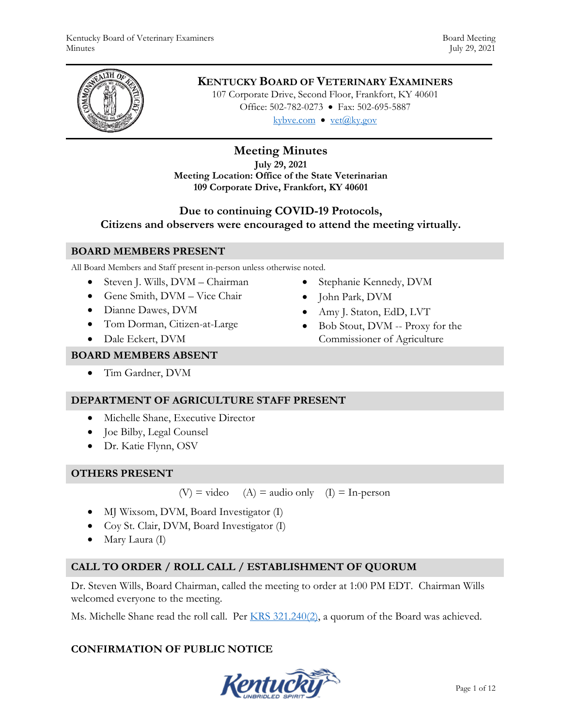

# **KENTUCKY BOARD OF VETERINARY EXAMINERS**

107 Corporate Drive, Second Floor, Frankfort, KY 40601 Office: 502-782-0273 • Fax: 502-695-5887 kybve.com  $\bullet$  vet $(\partial_k$ ky.gov

# **Meeting Minutes**

**July 29, 2021 Meeting Location: Office of the State Veterinarian 109 Corporate Drive, Frankfort, KY 40601** 

# **Due to continuing COVID-19 Protocols,**

**Citizens and observers were encouraged to attend the meeting virtually.**

#### **BOARD MEMBERS PRESENT**

All Board Members and Staff present in-person unless otherwise noted.

- Steven J. Wills, DVM Chairman
- Gene Smith, DVM Vice Chair
- Dianne Dawes, DVM
- Tom Dorman, Citizen-at-Large
- Dale Eckert, DVM
- Stephanie Kennedy, DVM
- John Park, DVM
- Amy J. Staton, EdD, LVT
- Bob Stout, DVM -- Proxy for the Commissioner of Agriculture

### **BOARD MEMBERS ABSENT**

Tim Gardner, DVM

# **DEPARTMENT OF AGRICULTURE STAFF PRESENT**

- Michelle Shane, Executive Director
- Joe Bilby, Legal Counsel
- Dr. Katie Flynn, OSV

### **OTHERS PRESENT**

 $(V)$  = video (A) = audio only (I) = In-person

- MJ Wixsom, DVM, Board Investigator (I)
- Coy St. Clair, DVM, Board Investigator (I)
- Mary Laura (I)

# **CALL TO ORDER / ROLL CALL / ESTABLISHMENT OF QUORUM**

Dr. Steven Wills, Board Chairman, called the meeting to order at 1:00 PM EDT. Chairman Wills welcomed everyone to the meeting.

Ms. Michelle Shane read the roll call. Per KRS 321.240(2), a quorum of the Board was achieved.

# **CONFIRMATION OF PUBLIC NOTICE**

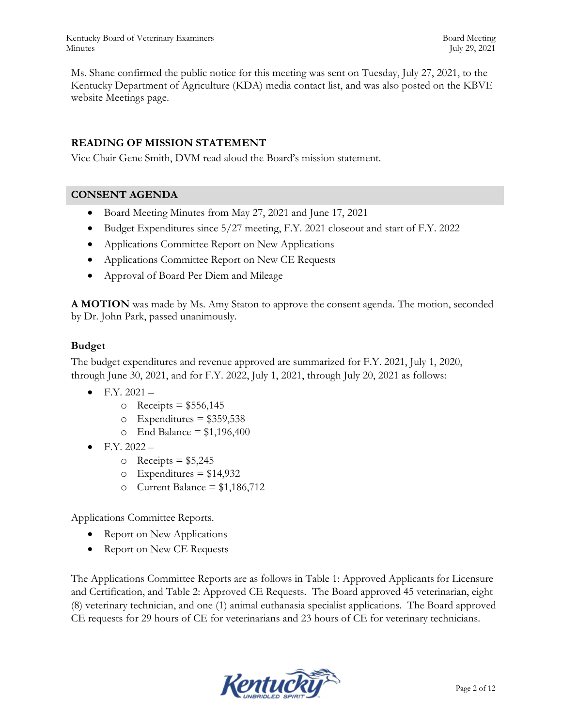Kentucky Board of Veterinary Examiners Board Meeting Board Meeting Minutes July 29, 2021

Ms. Shane confirmed the public notice for this meeting was sent on Tuesday, July 27, 2021, to the Kentucky Department of Agriculture (KDA) media contact list, and was also posted on the KBVE website Meetings page.

### **READING OF MISSION STATEMENT**

Vice Chair Gene Smith, DVM read aloud the Board's mission statement.

### **CONSENT AGENDA**

- Board Meeting Minutes from May 27, 2021 and June 17, 2021
- Budget Expenditures since 5/27 meeting, F.Y. 2021 closeout and start of F.Y. 2022
- Applications Committee Report on New Applications
- Applications Committee Report on New CE Requests
- Approval of Board Per Diem and Mileage

**A MOTION** was made by Ms. Amy Staton to approve the consent agenda. The motion, seconded by Dr. John Park, passed unanimously.

#### **Budget**

The budget expenditures and revenue approved are summarized for F.Y. 2021, July 1, 2020, through June 30, 2021, and for F.Y. 2022, July 1, 2021, through July 20, 2021 as follows:

- $\bullet$  F.Y. 2021
	- o Receipts  $= $556,145$
	- $\circ$  Expenditures = \$359,538
	- $\circ$  End Balance = \$1,196,400
- $\bullet$  F.Y. 2022
	- $\circ$  Receipts = \$5,245
	- $\circ$  Expenditures = \$14,932
	- o Current Balance =  $$1,186,712$

Applications Committee Reports.

- Report on New Applications
- Report on New CE Requests

The Applications Committee Reports are as follows in Table 1: Approved Applicants for Licensure and Certification, and Table 2: Approved CE Requests. The Board approved 45 veterinarian, eight (8) veterinary technician, and one (1) animal euthanasia specialist applications. The Board approved CE requests for 29 hours of CE for veterinarians and 23 hours of CE for veterinary technicians.

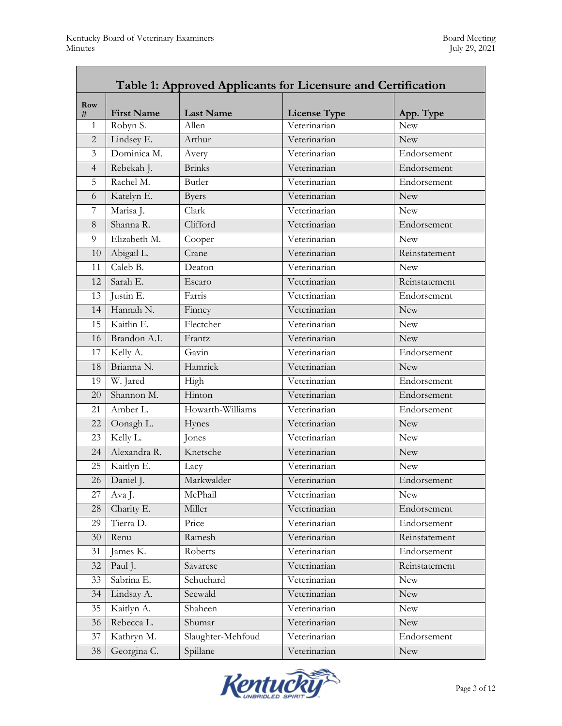| Table 1: Approved Applicants for Licensure and Certification |                   |                   |                     |               |  |  |  |
|--------------------------------------------------------------|-------------------|-------------------|---------------------|---------------|--|--|--|
| <b>Row</b><br>#                                              | <b>First Name</b> | <b>Last Name</b>  | <b>License Type</b> | App. Type     |  |  |  |
| 1                                                            | Robyn S.          | Allen             | Veterinarian        | <b>New</b>    |  |  |  |
| $\overline{2}$                                               | Lindsey E.        | Arthur            | Veterinarian        | <b>New</b>    |  |  |  |
| 3                                                            | Dominica M.       | Avery             | Veterinarian        | Endorsement   |  |  |  |
| $\overline{4}$                                               | Rebekah J.        | <b>Brinks</b>     | Veterinarian        | Endorsement   |  |  |  |
| 5                                                            | Rachel M.         | <b>Butler</b>     | Veterinarian        | Endorsement   |  |  |  |
| 6                                                            | Katelyn E.        | <b>Byers</b>      | Veterinarian        | <b>New</b>    |  |  |  |
| 7                                                            | Marisa J.         | Clark             | Veterinarian        | <b>New</b>    |  |  |  |
| 8                                                            | Shanna R.         | Clifford          | Veterinarian        | Endorsement   |  |  |  |
| 9                                                            | Elizabeth M.      | Cooper            | Veterinarian        | <b>New</b>    |  |  |  |
| 10                                                           | Abigail L.        | Crane             | Veterinarian        | Reinstatement |  |  |  |
| 11                                                           | Caleb B.          | Deaton            | Veterinarian        | <b>New</b>    |  |  |  |
| 12                                                           | Sarah E.          | Escaro            | Veterinarian        | Reinstatement |  |  |  |
| 13                                                           | Justin E.         | Farris            | Veterinarian        | Endorsement   |  |  |  |
| 14                                                           | Hannah N.         | Finney            | Veterinarian        | <b>New</b>    |  |  |  |
| 15                                                           | Kaitlin E.        | Flectcher         | Veterinarian        | <b>New</b>    |  |  |  |
| 16                                                           | Brandon A.I.      | Frantz            | Veterinarian        | <b>New</b>    |  |  |  |
| 17                                                           | Kelly A.          | Gavin             | Veterinarian        | Endorsement   |  |  |  |
| 18                                                           | Brianna N.        | Hamrick           | Veterinarian        | <b>New</b>    |  |  |  |
| 19                                                           | W. Jared          | High              | Veterinarian        | Endorsement   |  |  |  |
| 20                                                           | Shannon M.        | Hinton            | Veterinarian        | Endorsement   |  |  |  |
| 21                                                           | Amber L.          | Howarth-Williams  | Veterinarian        | Endorsement   |  |  |  |
| 22                                                           | Oonagh L.         | Hynes             | Veterinarian        | <b>New</b>    |  |  |  |
| 23                                                           | Kelly L.          | Jones             | Veterinarian        | <b>New</b>    |  |  |  |
| 24                                                           | Alexandra R.      | Knetsche          | Veterinarian        | <b>New</b>    |  |  |  |
| 25                                                           | Kaitlyn E.        | Lacy              | Veterinarian        | <b>New</b>    |  |  |  |
| 26                                                           | Daniel J.         | Markwalder        | Veterinarian        | Endorsement   |  |  |  |
| 27                                                           | Ava J.            | McPhail           | Veterinarian        | <b>New</b>    |  |  |  |
| 28                                                           | Charity E.        | Miller            | Veterinarian        | Endorsement   |  |  |  |
| 29                                                           | Tierra D.         | Price             | Veterinarian        | Endorsement   |  |  |  |
| 30                                                           | Renu              | Ramesh            | Veterinarian        | Reinstatement |  |  |  |
| 31                                                           | James K.          | Roberts           | Veterinarian        | Endorsement   |  |  |  |
| 32                                                           | Paul J.           | Savarese          | Veterinarian        | Reinstatement |  |  |  |
| 33                                                           | Sabrina E.        | Schuchard         | Veterinarian        | New           |  |  |  |
| 34                                                           | Lindsay A.        | Seewald           | Veterinarian        | New           |  |  |  |
| 35                                                           | Kaitlyn A.        | Shaheen           | Veterinarian        | New           |  |  |  |
| 36                                                           | Rebecca L.        | Shumar            | Veterinarian        | <b>New</b>    |  |  |  |
| 37                                                           | Kathryn M.        | Slaughter-Mehfoud | Veterinarian        | Endorsement   |  |  |  |
| 38                                                           | Georgina C.       | Spillane          | Veterinarian        | New           |  |  |  |

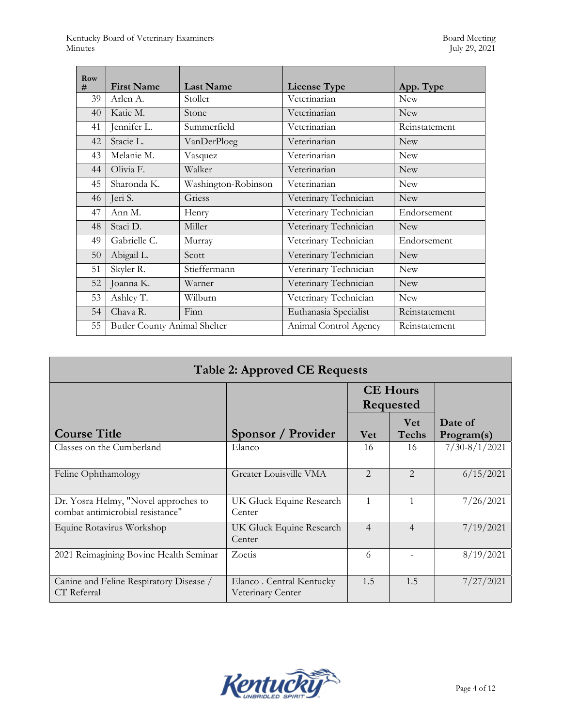| Row<br># | <b>First Name</b>                   | <b>Last Name</b>    | <b>License Type</b>   | App. Type     |
|----------|-------------------------------------|---------------------|-----------------------|---------------|
| 39       | Arlen A.                            | Stoller             | Veterinarian          | <b>New</b>    |
| 40       | Katie M.                            | Stone               | Veterinarian          | <b>New</b>    |
| 41       | Jennifer L.                         | Summerfield         | Veterinarian          | Reinstatement |
| 42       | Stacie L.                           | VanDerPloeg         | Veterinarian          | <b>New</b>    |
| 43       | Melanie M.                          | Vasquez             | Veterinarian          | <b>New</b>    |
| 44       | Olivia F.                           | Walker              | Veterinarian          | <b>New</b>    |
| 45       | Sharonda K.                         | Washington-Robinson | Veterinarian          | <b>New</b>    |
| 46       | Jeri S.                             | Griess              | Veterinary Technician | <b>New</b>    |
| 47       | Ann M.                              | Henry               | Veterinary Technician | Endorsement   |
| 48       | Staci D.                            | Miller              | Veterinary Technician | <b>New</b>    |
| 49       | Gabrielle C.                        | Murray              | Veterinary Technician | Endorsement   |
| 50       | Abigail L.                          | Scott               | Veterinary Technician | <b>New</b>    |
| 51       | Skyler R.                           | Stieffermann        | Veterinary Technician | <b>New</b>    |
| 52       | Joanna K.                           | Warner              | Veterinary Technician | <b>New</b>    |
| 53       | Ashley T.                           | Wilburn             | Veterinary Technician | <b>New</b>    |
| 54       | Chava R.                            | Finn                | Euthanasia Specialist | Reinstatement |
| 55       | <b>Butler County Animal Shelter</b> |                     | Animal Control Agency | Reinstatement |

| <b>Table 2: Approved CE Requests</b>                                     |                                               |                                     |                     |                       |  |  |  |  |  |
|--------------------------------------------------------------------------|-----------------------------------------------|-------------------------------------|---------------------|-----------------------|--|--|--|--|--|
|                                                                          |                                               | <b>CE</b> Hours<br><b>Requested</b> |                     |                       |  |  |  |  |  |
| <b>Course Title</b>                                                      | Sponsor / Provider                            | <b>Vet</b>                          | <b>Vet</b><br>Techs | Date of<br>Program(s) |  |  |  |  |  |
| Classes on the Cumberland                                                | Elanco                                        | 16                                  | 16                  | $7/30 - 8/1/2021$     |  |  |  |  |  |
| Feline Ophthamology                                                      | Greater Louisville VMA                        | $\mathcal{D}_{\mathcal{L}}$         | 2                   | 6/15/2021             |  |  |  |  |  |
| Dr. Yosra Helmy, "Novel approches to<br>combat antimicrobial resistance" | UK Gluck Equine Research<br>Center            | $\mathbf{1}$                        | 1                   | 7/26/2021             |  |  |  |  |  |
| Equine Rotavirus Workshop                                                | UK Gluck Equine Research<br>Center            | $\overline{4}$                      | $\overline{4}$      | 7/19/2021             |  |  |  |  |  |
| 2021 Reimagining Bovine Health Seminar                                   | Zoetis                                        | 6                                   |                     | 8/19/2021             |  |  |  |  |  |
| Canine and Feline Respiratory Disease /<br>CT Referral                   | Elanco. Central Kentucky<br>Veterinary Center | 1.5                                 | 1.5                 | 7/27/2021             |  |  |  |  |  |

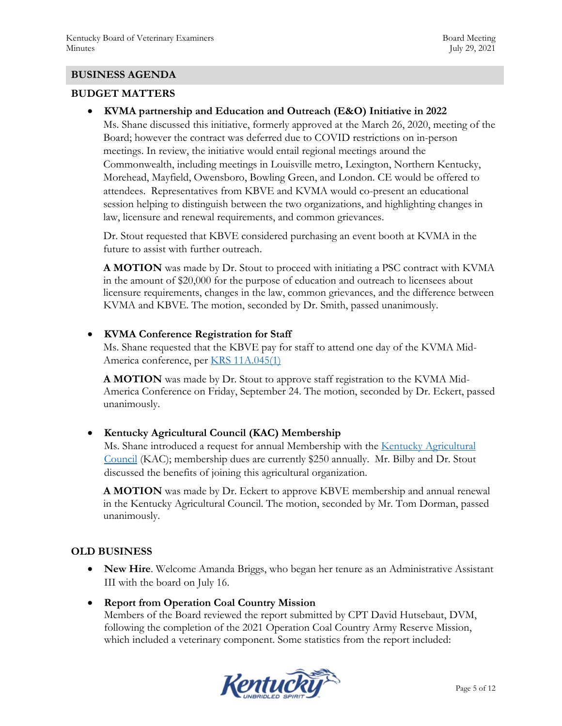#### **BUSINESS AGENDA**

#### **BUDGET MATTERS**

**KVMA partnership and Education and Outreach (E&O) Initiative in 2022** 

Ms. Shane discussed this initiative, formerly approved at the March 26, 2020, meeting of the Board; however the contract was deferred due to COVID restrictions on in-person meetings. In review, the initiative would entail regional meetings around the Commonwealth, including meetings in Louisville metro, Lexington, Northern Kentucky, Morehead, Mayfield, Owensboro, Bowling Green, and London. CE would be offered to attendees. Representatives from KBVE and KVMA would co-present an educational session helping to distinguish between the two organizations, and highlighting changes in law, licensure and renewal requirements, and common grievances.

Dr. Stout requested that KBVE considered purchasing an event booth at KVMA in the future to assist with further outreach.

**A MOTION** was made by Dr. Stout to proceed with initiating a PSC contract with KVMA in the amount of \$20,000 for the purpose of education and outreach to licensees about licensure requirements, changes in the law, common grievances, and the difference between KVMA and KBVE. The motion, seconded by Dr. Smith, passed unanimously.

#### **KVMA Conference Registration for Staff**

Ms. Shane requested that the KBVE pay for staff to attend one day of the KVMA Mid-America conference, per KRS 11A.045(1)

**A MOTION** was made by Dr. Stout to approve staff registration to the KVMA Mid-America Conference on Friday, September 24. The motion, seconded by Dr. Eckert, passed unanimously.

**• Kentucky Agricultural Council (KAC) Membership** 

Ms. Shane introduced a request for annual Membership with the Kentucky Agricultural Council (KAC); membership dues are currently \$250 annually. Mr. Bilby and Dr. Stout discussed the benefits of joining this agricultural organization.

**A MOTION** was made by Dr. Eckert to approve KBVE membership and annual renewal in the Kentucky Agricultural Council. The motion, seconded by Mr. Tom Dorman, passed unanimously.

### **OLD BUSINESS**

- **New Hire**. Welcome Amanda Briggs, who began her tenure as an Administrative Assistant III with the board on July 16.
- **Report from Operation Coal Country Mission**

Members of the Board reviewed the report submitted by CPT David Hutsebaut, DVM, following the completion of the 2021 Operation Coal Country Army Reserve Mission, which included a veterinary component. Some statistics from the report included:

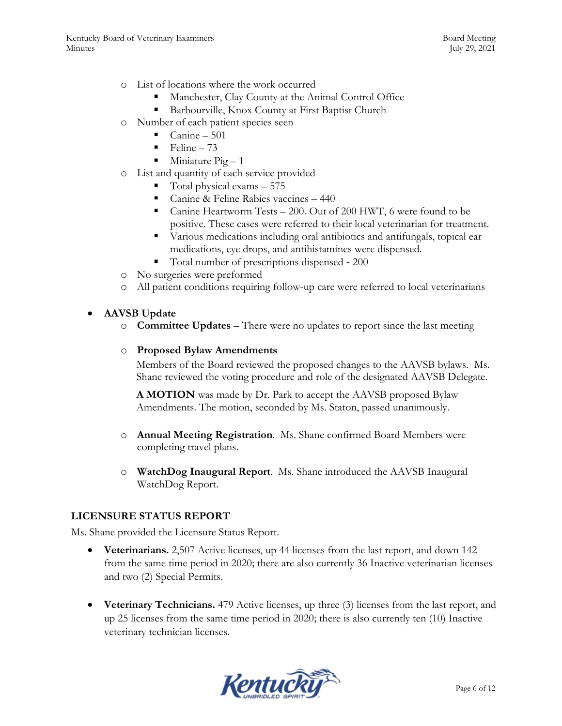- o List of locations where the work occurred
	- Manchester, Clay County at the Animal Control Office
	- Barbourville, Knox County at First Baptist Church
- o Number of each patient species seen
	- $\blacksquare$  Canine 501
	- $\blacksquare$  Feline 73
	- $\blacksquare$  Miniature Pig 1
- o List and quantity of each service provided
	- $\blacksquare$  Total physical exams  $-575$
	- Canine & Feline Rabies vaccines 440
	- Canine Heartworm Tests 200. Out of 200 HWT, 6 were found to be positive. These cases were referred to their local veterinarian for treatment.
	- Various medications including oral antibiotics and antifungals, topical ear medications, eye drops, and antihistamines were dispensed.
	- Total number of prescriptions dispensed ‐ 200
- o No surgeries were preformed
- o All patient conditions requiring follow-up care were referred to local veterinarians

#### **AAVSB Update**

o **Committee Updates** – There were no updates to report since the last meeting

#### o **Proposed Bylaw Amendments**

Members of the Board reviewed the proposed changes to the AAVSB bylaws. Ms. Shane reviewed the voting procedure and role of the designated AAVSB Delegate.

**A MOTION** was made by Dr. Park to accept the AAVSB proposed Bylaw Amendments. The motion, seconded by Ms. Staton, passed unanimously.

- o **Annual Meeting Registration**. Ms. Shane confirmed Board Members were completing travel plans.
- o **WatchDog Inaugural Report**. Ms. Shane introduced the AAVSB Inaugural WatchDog Report.

### **LICENSURE STATUS REPORT**

Ms. Shane provided the Licensure Status Report.

- **Veterinarians.** 2,507 Active licenses, up 44 licenses from the last report, and down 142 from the same time period in 2020; there are also currently 36 Inactive veterinarian licenses and two (2) Special Permits.
- **Veterinary Technicians.** 479 Active licenses, up three (3) licenses from the last report, and up 25 licenses from the same time period in 2020; there is also currently ten (10) Inactive veterinary technician licenses.

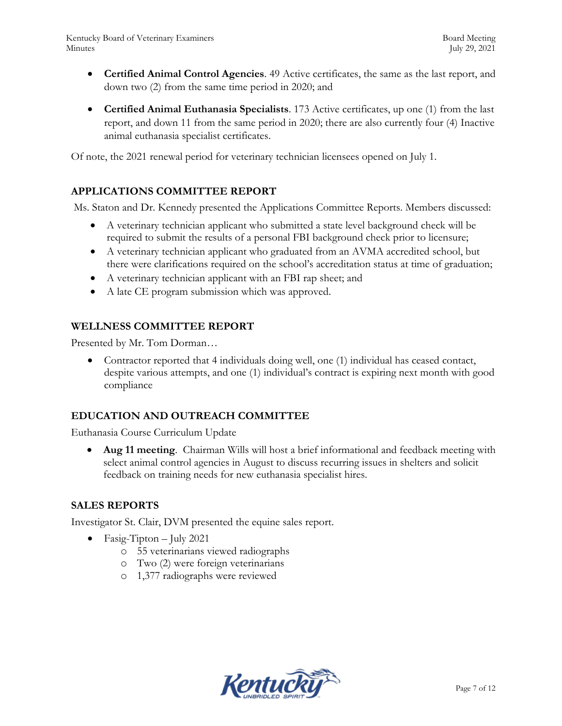- **Certified Animal Control Agencies**. 49 Active certificates, the same as the last report, and down two (2) from the same time period in 2020; and
- **Certified Animal Euthanasia Specialists**. 173 Active certificates, up one (1) from the last report, and down 11 from the same period in 2020; there are also currently four (4) Inactive animal euthanasia specialist certificates.

Of note, the 2021 renewal period for veterinary technician licensees opened on July 1.

# **APPLICATIONS COMMITTEE REPORT**

Ms. Staton and Dr. Kennedy presented the Applications Committee Reports. Members discussed:

- A veterinary technician applicant who submitted a state level background check will be required to submit the results of a personal FBI background check prior to licensure;
- A veterinary technician applicant who graduated from an AVMA accredited school, but there were clarifications required on the school's accreditation status at time of graduation;
- A veterinary technician applicant with an FBI rap sheet; and
- A late CE program submission which was approved.

### **WELLNESS COMMITTEE REPORT**

Presented by Mr. Tom Dorman…

 Contractor reported that 4 individuals doing well, one (1) individual has ceased contact, despite various attempts, and one (1) individual's contract is expiring next month with good compliance

# **EDUCATION AND OUTREACH COMMITTEE**

Euthanasia Course Curriculum Update

 **Aug 11 meeting**. Chairman Wills will host a brief informational and feedback meeting with select animal control agencies in August to discuss recurring issues in shelters and solicit feedback on training needs for new euthanasia specialist hires.

### **SALES REPORTS**

Investigator St. Clair, DVM presented the equine sales report.

- Fasig-Tipton July 2021
	- o 55 veterinarians viewed radiographs
	- o Two (2) were foreign veterinarians
	- o 1,377 radiographs were reviewed

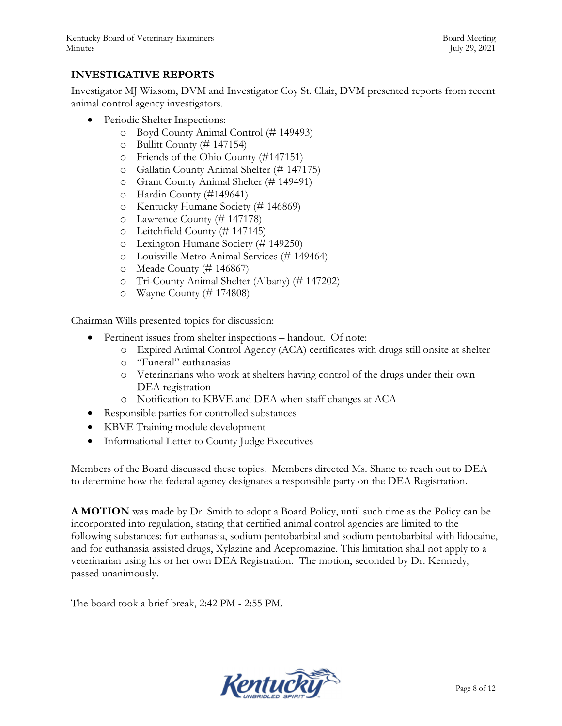### **INVESTIGATIVE REPORTS**

Investigator MJ Wixsom, DVM and Investigator Coy St. Clair, DVM presented reports from recent animal control agency investigators.

- Periodic Shelter Inspections:
	- o Boyd County Animal Control (# 149493)
	- o Bullitt County (# 147154)
	- o Friends of the Ohio County (#147151)
	- o Gallatin County Animal Shelter (# 147175)
	- o Grant County Animal Shelter (# 149491)
	- o Hardin County (#149641)
	- o Kentucky Humane Society (# 146869)
	- o Lawrence County (# 147178)
	- o Leitchfield County (# 147145)
	- o Lexington Humane Society (# 149250)
	- o Louisville Metro Animal Services (# 149464)
	- o Meade County (# 146867)
	- o Tri-County Animal Shelter (Albany) (# 147202)
	- o Wayne County (# 174808)

Chairman Wills presented topics for discussion:

- Pertinent issues from shelter inspections handout. Of note:
	- o Expired Animal Control Agency (ACA) certificates with drugs still onsite at shelter
	- o "Funeral" euthanasias
	- o Veterinarians who work at shelters having control of the drugs under their own DEA registration
	- o Notification to KBVE and DEA when staff changes at ACA
- Responsible parties for controlled substances
- KBVE Training module development
- Informational Letter to County Judge Executives

Members of the Board discussed these topics. Members directed Ms. Shane to reach out to DEA to determine how the federal agency designates a responsible party on the DEA Registration.

**A MOTION** was made by Dr. Smith to adopt a Board Policy, until such time as the Policy can be incorporated into regulation, stating that certified animal control agencies are limited to the following substances: for euthanasia, sodium pentobarbital and sodium pentobarbital with lidocaine, and for euthanasia assisted drugs, Xylazine and Acepromazine. This limitation shall not apply to a veterinarian using his or her own DEA Registration. The motion, seconded by Dr. Kennedy, passed unanimously.

The board took a brief break, 2:42 PM - 2:55 PM.

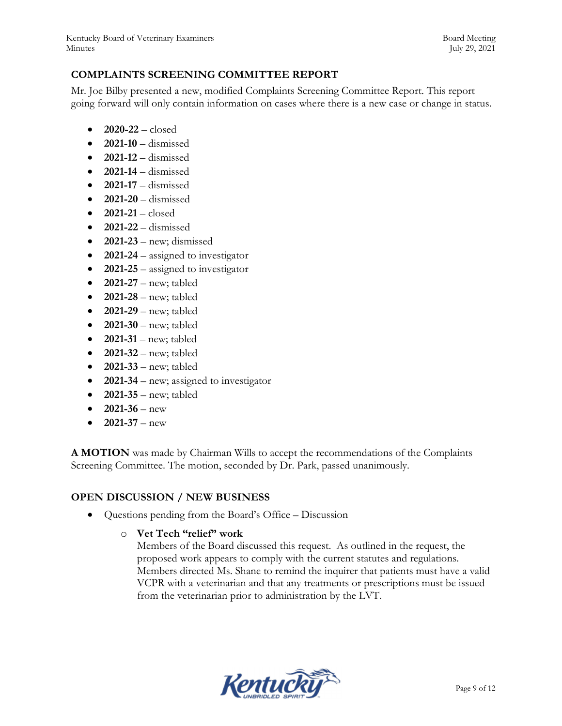### **COMPLAINTS SCREENING COMMITTEE REPORT**

Mr. Joe Bilby presented a new, modified Complaints Screening Committee Report. This report going forward will only contain information on cases where there is a new case or change in status.

- **2020-22**  closed
- **2021-10**  dismissed
- **2021-12**  dismissed
- **2021-14**  dismissed
- **2021-17**  dismissed
- **2021-20**  dismissed
- **2021-21**  closed
- **2021-22** dismissed
- **2021-23** new; dismissed
- **2021-24** assigned to investigator
- **2021-25** assigned to investigator
- **2021-27** new; tabled
- **2021-28** new; tabled
- **2021-29** new; tabled
- **2021-30** new; tabled
- **2021-31** new; tabled
- **2021-32** new; tabled
- **2021-33** new; tabled
- **2021-34** new; assigned to investigator
- **2021-35** new; tabled
- **2021-36** new
- **2021-37** new

**A MOTION** was made by Chairman Wills to accept the recommendations of the Complaints Screening Committee. The motion, seconded by Dr. Park, passed unanimously.

### **OPEN DISCUSSION / NEW BUSINESS**

Questions pending from the Board's Office – Discussion

### o **Vet Tech "relief" work**

Members of the Board discussed this request. As outlined in the request, the proposed work appears to comply with the current statutes and regulations. Members directed Ms. Shane to remind the inquirer that patients must have a valid VCPR with a veterinarian and that any treatments or prescriptions must be issued from the veterinarian prior to administration by the LVT.

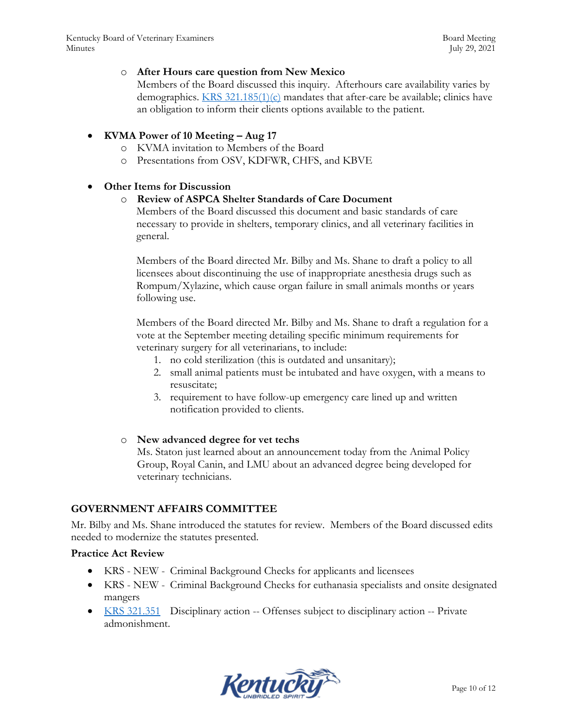#### o **After Hours care question from New Mexico**

Members of the Board discussed this inquiry. Afterhours care availability varies by demographics. KRS 321.185(1)(c) mandates that after-care be available; clinics have an obligation to inform their clients options available to the patient.

#### **KVMA Power of 10 Meeting – Aug 17**

- o KVMA invitation to Members of the Board
- o Presentations from OSV, KDFWR, CHFS, and KBVE

#### **Other Items for Discussion**

#### o **Review of ASPCA Shelter Standards of Care Document**

Members of the Board discussed this document and basic standards of care necessary to provide in shelters, temporary clinics, and all veterinary facilities in general.

Members of the Board directed Mr. Bilby and Ms. Shane to draft a policy to all licensees about discontinuing the use of inappropriate anesthesia drugs such as Rompum/Xylazine, which cause organ failure in small animals months or years following use.

Members of the Board directed Mr. Bilby and Ms. Shane to draft a regulation for a vote at the September meeting detailing specific minimum requirements for veterinary surgery for all veterinarians, to include:

- 1. no cold sterilization (this is outdated and unsanitary);
- 2. small animal patients must be intubated and have oxygen, with a means to resuscitate;
- 3. requirement to have follow-up emergency care lined up and written notification provided to clients.

#### o **New advanced degree for vet techs**

Ms. Staton just learned about an announcement today from the Animal Policy Group, Royal Canin, and LMU about an advanced degree being developed for veterinary technicians.

### **GOVERNMENT AFFAIRS COMMITTEE**

Mr. Bilby and Ms. Shane introduced the statutes for review. Members of the Board discussed edits needed to modernize the statutes presented.

#### **Practice Act Review**

- KRS NEW Criminal Background Checks for applicants and licensees
- KRS NEW Criminal Background Checks for euthanasia specialists and onsite designated mangers
- KRS 321.351 Disciplinary action -- Offenses subject to disciplinary action -- Private admonishment.

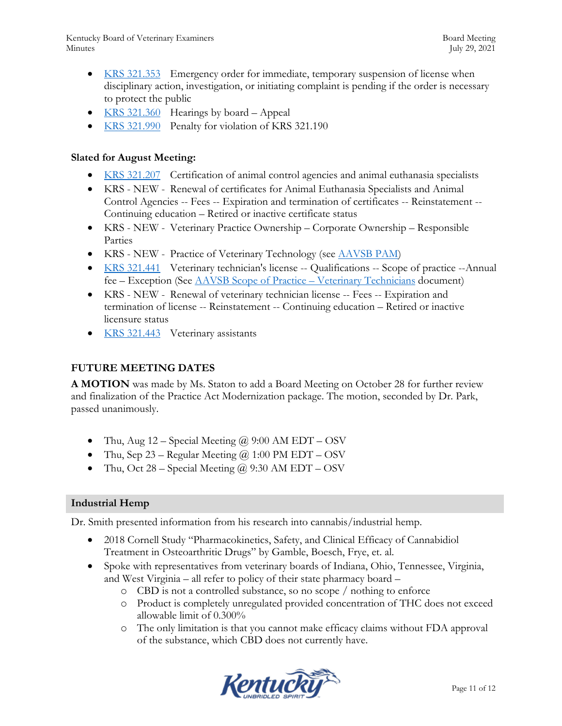- KRS 321.353 Emergency order for immediate, temporary suspension of license when disciplinary action, investigation, or initiating complaint is pending if the order is necessary to protect the public
- KRS 321.360 Hearings by board Appeal
- KRS 321.990 Penalty for violation of KRS 321.190

#### **Slated for August Meeting:**

- KRS 321.207 Certification of animal control agencies and animal euthanasia specialists
- KRS NEW Renewal of certificates for Animal Euthanasia Specialists and Animal Control Agencies -- Fees -- Expiration and termination of certificates -- Reinstatement -- Continuing education – Retired or inactive certificate status
- KRS NEW Veterinary Practice Ownership Corporate Ownership Responsible Parties
- KRS NEW Practice of Veterinary Technology (see AAVSB PAM)
- KRS 321.441 Veterinary technician's license -- Qualifications -- Scope of practice --Annual fee – Exception (See AAVSB Scope of Practice – Veterinary Technicians document)
- KRS NEW Renewal of veterinary technician license -- Fees -- Expiration and termination of license -- Reinstatement -- Continuing education – Retired or inactive licensure status
- KRS 321.443 Veterinary assistants

### **FUTURE MEETING DATES**

**A MOTION** was made by Ms. Staton to add a Board Meeting on October 28 for further review and finalization of the Practice Act Modernization package. The motion, seconded by Dr. Park, passed unanimously.

- Thu, Aug  $12$  Special Meeting  $\omega$  9:00 AM EDT OSV
- Thu, Sep 23 Regular Meeting  $\omega$  1:00 PM EDT OSV
- Thu, Oct 28 Special Meeting  $\omega$  9:30 AM EDT OSV

### **Industrial Hemp**

Dr. Smith presented information from his research into cannabis/industrial hemp.

- 2018 Cornell Study "Pharmacokinetics, Safety, and Clinical Efficacy of Cannabidiol Treatment in Osteoarthritic Drugs" by Gamble, Boesch, Frye, et. al.
- Spoke with representatives from veterinary boards of Indiana, Ohio, Tennessee, Virginia, and West Virginia – all refer to policy of their state pharmacy board –
	- o CBD is not a controlled substance, so no scope / nothing to enforce
	- o Product is completely unregulated provided concentration of THC does not exceed allowable limit of 0.300%
	- o The only limitation is that you cannot make efficacy claims without FDA approval of the substance, which CBD does not currently have.

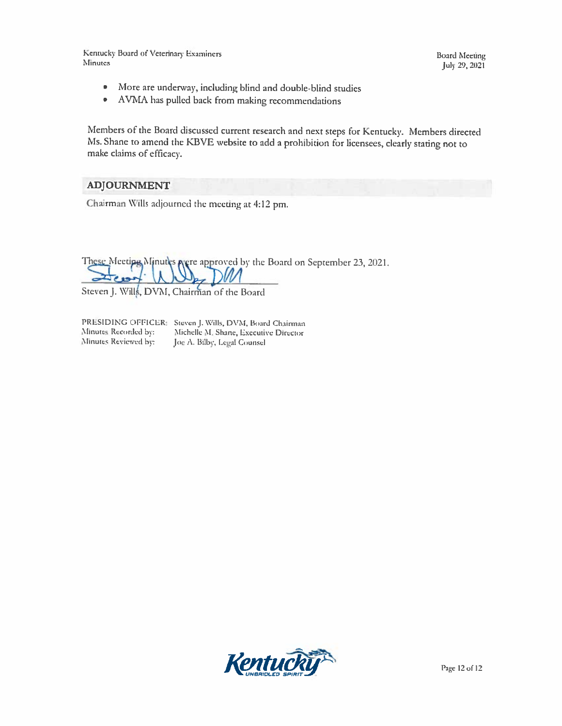Kentucky Board of Veterinary Examiners Minutes

**Board Meeting** July 29, 2021

- More are underway, including blind and double-blind studies  $\bullet$
- $\bullet$ AVMA has pulled back from making recommendations

Members of the Board discussed current research and next steps for Kentucky. Members directed Ms. Shane to amend the KBVE website to add a prohibition for licensees, clearly stating not to make claims of efficacy.

#### ADJOURNMENT

Chairman Wills adjourned the meeting at 4:12 pm.

These Meetipe Minutes Nere approved by the Board on September 23, 2021.

Steven J. Wills, DVM, Chairman of the Board

Minutes Recorded by: Minutes Reviewed by:

PRESIDING OFFICER: Steven J. Wills, DVM, Board Chairman Michelle M. Shane, Executive Director Joe A. Bilby, Legal Counsel

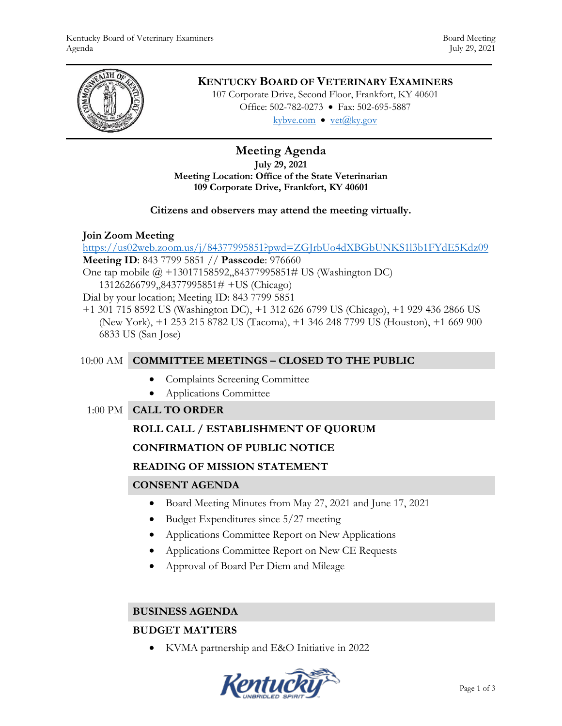

# **KENTUCKY BOARD OF VETERINARY EXAMINERS**

107 Corporate Drive, Second Floor, Frankfort, KY 40601 Office: 502-782-0273 • Fax: 502-695-5887 kybve.com  $\bullet$  yet $(\partial_k ky.gov)$ 

### **Meeting Agenda July 29, 2021 Meeting Location: Office of the State Veterinarian 109 Corporate Drive, Frankfort, KY 40601**

### **Citizens and observers may attend the meeting virtually.**

# **Join Zoom Meeting**

<https://us02web.zoom.us/j/84377995851?pwd=ZGJrbUo4dXBGbUNKS1l3b1FYdE5Kdz09> **Meeting ID**: 843 7799 5851 // **Passcode**: 976660 One tap mobile @ +13017158592,,84377995851# US (Washington DC)

13126266799,,84377995851# +US (Chicago)

Dial by your location; Meeting ID: 843 7799 5851

+1 301 715 8592 US (Washington DC), +1 312 626 6799 US (Chicago), +1 929 436 2866 US (New York), +1 253 215 8782 US (Tacoma), +1 346 248 7799 US (Houston), +1 669 900 6833 US (San Jose)

# 10:00 AM **COMMITTEE MEETINGS – CLOSED TO THE PUBLIC**

- Complaints Screening Committee
- Applications Committee

# 1:00 PM **CALL TO ORDER**

# **ROLL CALL / ESTABLISHMENT OF QUORUM**

# **CONFIRMATION OF PUBLIC NOTICE**

# **READING OF MISSION STATEMENT**

# **CONSENT AGENDA**

- Board Meeting Minutes from May 27, 2021 and June 17, 2021
- Budget Expenditures since 5/27 meeting
- Applications Committee Report on New Applications
- Applications Committee Report on New CE Requests
- Approval of Board Per Diem and Mileage

### **BUSINESS AGENDA**

# **BUDGET MATTERS**

KVMA partnership and E&O Initiative in 2022

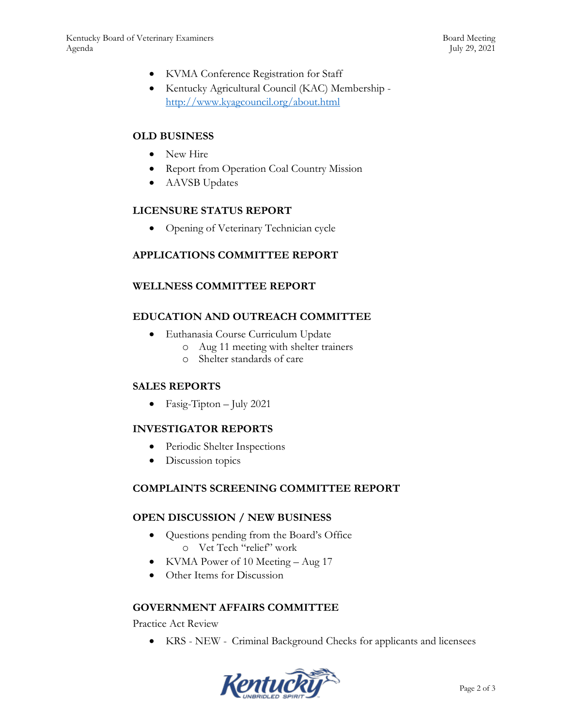- KVMA Conference Registration for Staff
- Kentucky Agricultural Council (KAC) Membership <http://www.kyagcouncil.org/about.html>

### **OLD BUSINESS**

- New Hire
- Report from Operation Coal Country Mission
- AAVSB Updates

### **LICENSURE STATUS REPORT**

• Opening of Veterinary Technician cycle

### **APPLICATIONS COMMITTEE REPORT**

### **WELLNESS COMMITTEE REPORT**

# **EDUCATION AND OUTREACH COMMITTEE**

- Euthanasia Course Curriculum Update
	- o Aug 11 meeting with shelter trainers
	- o Shelter standards of care

### **SALES REPORTS**

• Fasig-Tipton – July 2021

### **INVESTIGATOR REPORTS**

- Periodic Shelter Inspections
- Discussion topics

### **COMPLAINTS SCREENING COMMITTEE REPORT**

### **OPEN DISCUSSION / NEW BUSINESS**

- Questions pending from the Board's Office o Vet Tech "relief" work
- KVMA Power of 10 Meeting Aug 17
- Other Items for Discussion

### **GOVERNMENT AFFAIRS COMMITTEE**

Practice Act Review

KRS - NEW - Criminal Background Checks for applicants and licensees